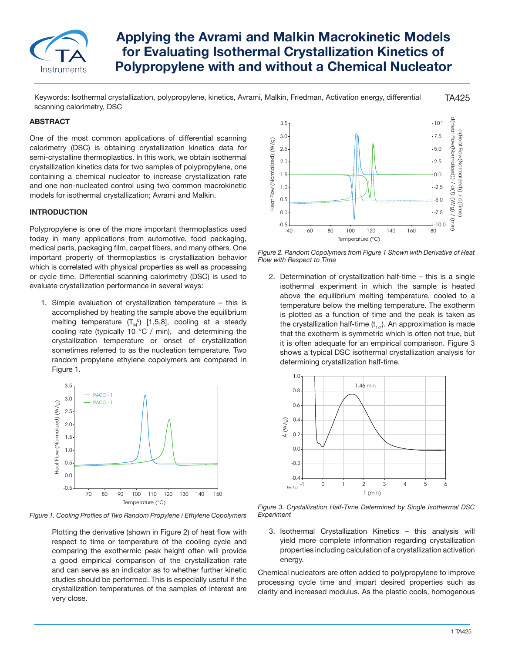

# **Applying the Avrami and Malkin Macrokinetic Models for Evaluating Isothermal Crystallization Kinetics of Polypropylene with and without a Chemical Nucleator**

Keywords: Isothermal crystallization, polypropylene, kinetics, Avrami, Malkin, Friedman, Activation energy, differential scanning calorimetry, DSC

# **ABSTRACT**

One of the most common applications of differential scanning calorimetry (DSC) is obtaining crystallization kinetics data for semi-crystalline thermoplastics. In this work, we obtain isothermal crystallization kinetics data for two samples of polypropylene, one containing a chemical nucleator to increase crystallization rate and one non-nucleated control using two common macrokinetic models for isothermal crystallization; Avrami and Malkin.

#### **INTRODUCTION**

Polypropylene is one of the more important thermoplastics used today in many applications from automotive, food packaging, medical parts, packaging film, carpet fibers, and many others. One important property of thermoplastics is crystallization behavior which is correlated with physical properties as well as processing or cycle time. Differential scanning calorimetry (DSC) is used to evaluate crystallization performance in several ways:

1. Simple evaluation of crystallization temperature – this is accomplished by heating the sample above the equilibrium melting temperature  $(\mathsf{T}_{\scriptscriptstyle \mathsf{M}}^{\scriptscriptstyle \mathsf{O}})$  [1,5,8], cooling at a steady cooling rate (typically 10  $^{\circ}$ C / min), and determining the crystallization temperature or onset of crystallization sometimes referred to as the nucleation temperature. Two random propylene ethylene copolymers are compared in Figure 1.



*Figure 1. Cooling Profiles of Two Random Propylene / Ethylene Copolymers*

Plotting the derivative (shown in Figure 2) of heat flow with respect to time or temperature of the cooling cycle and comparing the exothermic peak height often will provide a good empirical comparison of the crystallization rate and can serve as an indicator as to whether further kinetic studies should be performed. This is especially useful if the crystallization temperatures of the samples of interest are very close.



TA425

*Figure 2. Random Copolymers from Figure 1 Shown with Derivative of Heat Flow with Respect to Time*

2. Determination of crystallization half-time – this is a single isothermal experiment in which the sample is heated above the equilibrium melting temperature, cooled to a temperature below the melting temperature. The exotherm is plotted as a function of time and the peak is taken as the crystallization half-time  $(t_{1/2})$ . An approximation is made that the exotherm is symmetric which is often not true, but it is often adequate for an empirical comparison. Figure 3 shows a typical DSC isothermal crystallization analysis for determining crystallization half-time.



*Figure 3. Crystallization Half-Time Determined by Single Isothermal DSC Experiment*

3. Isothermal Crystallization Kinetics – this analysis will yield more complete information regarding crystallization properties including calculation of a crystallization activation energy.

Chemical nucleators are often added to polypropylene to improve processing cycle time and impart desired properties such as clarity and increased modulus. As the plastic cools, homogenous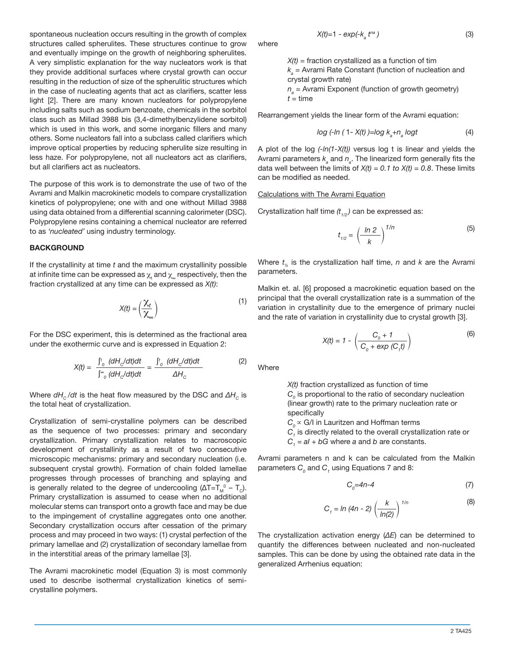spontaneous nucleation occurs resulting in the growth of complex structures called spherulites. These structures continue to grow and eventually impinge on the growth of neighboring spherulites. A very simplistic explanation for the way nucleators work is that they provide additional surfaces where crystal growth can occur resulting in the reduction of size of the spherulitic structures which in the case of nucleating agents that act as clarifiers, scatter less light [2]. There are many known nucleators for polypropylene including salts such as sodium benzoate, chemicals in the sorbitol class such as Millad 3988 bis (3,4-dimethylbenzylidene sorbitol) which is used in this work, and some inorganic fillers and many others. Some nucleators fall into a subclass called clarifiers which improve optical properties by reducing spherulite size resulting in less haze. For polypropylene, not all nucleators act as clarifiers, but all clarifiers act as nucleators.

The purpose of this work is to demonstrate the use of two of the Avrami and Malkin macrokinetic models to compare crystallization kinetics of polypropylene; one with and one without Millad 3988 using data obtained from a differential scanning calorimeter (DSC). Polypropylene resins containing a chemical nucleator are referred to as *'nucleated'* using industry terminology.

#### **BACKGROUND**

If the crystallinity at time *t* and the maximum crystallinity possible at infinite time can be expressed as  $\chi_{_{\! \! t}}$  and  $\chi_{_{\! \! s}}$  respectively, then the fraction crystallized at any time can be expressed as *X(t)*:

$$
X(t) = \left(\frac{\chi_t}{\chi_\infty}\right) \tag{1}
$$

For the DSC experiment, this is determined as the fractional area under the exothermic curve and is expressed in Equation 2:

$$
X(t) = \frac{\int_{0}^{t} (dH_{c}/dt)dt}{\int_{0}^{\infty} (dH_{c}/dt)dt} = \frac{\int_{0}^{t} (dH_{c}/dt)dt}{\Delta H_{c}}
$$
(2)

*Where dH<sub><i>C</sub>* /*dt* is the heat flow measured by the DSC and ΔH<sub>*C*</sub> is</sub> the total heat of crystallization.

Crystallization of semi-crystalline polymers can be described as the sequence of two processes: primary and secondary crystallization. Primary crystallization relates to macroscopic development of crystallinity as a result of two consecutive microscopic mechanisms: primary and secondary nucleation (i.e. subsequent crystal growth). Formation of chain folded lamellae progresses through processes of branching and splaying and is generally related to the degree of undercooling ( $\Delta T = T_{\scriptscriptstyle \rm M}^{\ \ \ \circ} - T_{\scriptscriptstyle \rm C}$ ). Primary crystallization is assumed to cease when no additional molecular stems can transport onto a growth face and may be due to the impingement of crystalline aggregates onto one another. Secondary crystallization occurs after cessation of the primary process and may proceed in two ways: (1) crystal perfection of the primary lamellae and (2) crystallization of secondary lamellae from in the interstitial areas of the primary lamellae [3].

The Avrami macrokinetic model (Equation 3) is most commonly used to describe isothermal crystallization kinetics of semicrystalline polymers.

$$
X(t)=1-\exp(-k_a t^{na})
$$
 (3)

where

 $X(t)$  = fraction crystallized as a function of tim  $k_{_a}$  = Avrami Rate Constant (function of nucleation and crystal growth rate) *na* = Avrami Exponent (function of growth geometry)

 $t =$ time

Rearrangement yields the linear form of the Avrami equation:

$$
log (-ln (1 - X(t)) = log k_a + n_a log t
$$
 (4)

A plot of the log *(-ln(1-X(t))* versus log t is linear and yields the Avrami parameters  $k_{\scriptscriptstyle a}$  and  $n_{\scriptscriptstyle a}$ . The linearized form generally fits the data well between the limits of  $X(t) = 0.1$  to  $X(t) = 0.8$ . These limits can be modified as needed.

#### Calculations with The Avrami Equation

Crystallization half time  $(t_{1/2})$  can be expressed as:

$$
t_{1/2} = \left(\frac{\ln 2}{k}\right)^{1/n} \tag{5}
$$

Where *t <sup>½</sup>* is the crystallization half time, *n* and *k* are the Avrami parameters.

Malkin et. al. [6] proposed a macrokinetic equation based on the principal that the overall crystallization rate is a summation of the variation in crystallinity due to the emergence of primary nuclei and the rate of variation in crystallinity due to crystal growth [3].

$$
X(t) = 1 - \left(\frac{C_o + 1}{C_o + \exp(C_i t)}\right)
$$
 (6)

**Where** 

*X(t)* fraction crystallized as function of time  $C_{_O}$  is proportional to the ratio of secondary nucleation (linear growth) rate to the primary nucleation rate or specifically

 $C_0 \propto G/I$  in Lauritzen and Hoffman terms

 $\bm{C}_j$  is directly related to the overall crystallization rate or  $C_{1}$  = *al* + *bG* where *a* and *b* are constants.

Avrami parameters n and k can be calculated from the Malkin parameters  $\bm{C}_o$  and  $\bm{C}_j$  using Equations 7 and 8:

$$
C_o = 4n - 4\tag{7}
$$

$$
C_{1} = \ln (4n - 2) \left( \frac{k}{\ln(2)} \right)^{1/n}
$$
 (8)

The crystallization activation energy (*ΔE*) can be determined to quantify the differences between nucleated and non-nucleated samples. This can be done by using the obtained rate data in the generalized Arrhenius equation: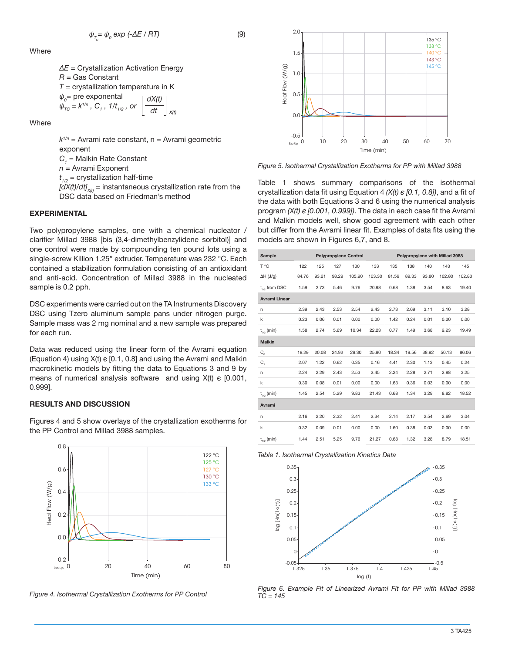$$
\psi_{\tau_c} = \psi_o \exp\left(-\Delta E / RT\right) \tag{9}
$$

**Where** 

*ΔE* = Crystallization Activation Energy *R* = Gas Constant  $T =$  crystallization temperature in K  $\psi_{_0}$ = pre exponental  $\psi_{TC} = k^{1/n}$  ,  $C_1$  ,  $1/t_{1/2}$  , or *dX(t) dt X(t)*

*C*

Where

 $k^{1/n}$  = Avrami rate constant,  $n =$  Avrami geometric exponent

 $C_{_I}$  = Malkin Rate Constant *n* = Avrami Exponent *t 1/2* = crystallization half-time  $[dX(t)/dt]_{X(t)}$  = instantaneous crystallization rate from the DSC data based on Friedman's method

### **EXPERIMENTAL**

Two polypropylene samples, one with a chemical nucleator / clarifier Millad 3988 [bis (3,4-dimethylbenzylidene sorbitol)] and one control were made by compounding ten pound lots using a single-screw Killion 1.25" extruder. Temperature was 232 °C. Each contained a stabilization formulation consisting of an antioxidant and anti-acid. Concentration of Millad 3988 in the nucleated sample is 0.2 pph.

DSC experiments were carried out on the TA Instruments Discovery DSC using Tzero aluminum sample pans under nitrogen purge. Sample mass was 2 mg nominal and a new sample was prepared for each run.

Data was reduced using the linear form of the Avrami equation (Equation 4) using  $X(t) \in [0.1, 0.8]$  and using the Avrami and Malkin macrokinetic models by fitting the data to Equations 3 and 9 by means of numerical analysis software and using  $X(t)$   $\epsilon$  [0.001, 0.999].

### **RESULTS AND DISCUSSION**

Figures 4 and 5 show overlays of the crystallization exotherms for the PP Control and Millad 3988 samples.



*Figure 4. Isothermal Crystallization Exotherms for PP Control*



*Figure 5. Isothermal Crystallization Exotherms for PP with Millad 3988*

Table 1 shows summary comparisons of the isothermal crystallization data fit using Equation 4 *(X(t) ϵ [0.1, 0.8])*, and a fit of the data with both Equations 3 and 6 using the numerical analysis program *(X(t) ϵ [0.001, 0.999])*. The data in each case fit the Avrami and Malkin models well, show good agreement with each other but differ from the Avrami linear fit. Examples of data fits using the models are shown in Figures 6,7, and 8.

| Sample               |       | <b>Polypropylene Control</b> |       |        | Polypropylene with Millad 3988 |       |       |       |        |        |
|----------------------|-------|------------------------------|-------|--------|--------------------------------|-------|-------|-------|--------|--------|
| T °C                 | 122   | 125                          | 127   | 130    | 133                            | 135   | 138   | 140   | 143    | 145    |
| $\Delta H$ (J/g)     | 84.76 | 93.21                        | 98.29 | 105.90 | 103.30                         | 81.56 | 89.33 | 93.80 | 102.80 | 102.80 |
| $t_{1/2}$ from DSC   | 1.59  | 2.73                         | 5.46  | 9.76   | 20.98                          | 0.68  | 1.38  | 3.54  | 8.63   | 19.40  |
| <b>Avrami Linear</b> |       |                              |       |        |                                |       |       |       |        |        |
| n                    | 2.39  | 2.43                         | 2.53  | 2.54   | 2.43                           | 2.73  | 2.69  | 3.11  | 3.10   | 3.28   |
| k                    | 0.23  | 0.06                         | 0.01  | 0.00   | 0.00                           | 1.42  | 0.24  | 0.01  | 0.00   | 0.00   |
| $t_{1/2}$ (min)      | 1.58  | 2.74                         | 5.69  | 10.34  | 22.23                          | 0.77  | 1.49  | 3.68  | 9.23   | 19.49  |
| <b>Malkin</b>        |       |                              |       |        |                                |       |       |       |        |        |
| $C_{0}$              | 18.29 | 20.08                        | 24.92 | 29.30  | 25.90                          | 18.34 | 19.56 | 38.92 | 50.13  | 86.06  |
| $C_{1}$              | 2.07  | 1.22                         | 0.62  | 0.35   | 0.16                           | 4.41  | 2.30  | 1.13  | 0.45   | 0.24   |
| n                    | 2.24  | 2.29                         | 2.43  | 2.53   | 2.45                           | 2.24  | 2.28  | 2.71  | 2.88   | 3.25   |
| k                    | 0.30  | 0.08                         | 0.01  | 0.00   | 0.00                           | 1.63  | 0.36  | 0.03  | 0.00   | 0.00   |
| $t_{1/2}$ (min)      | 1.45  | 2.54                         | 5.29  | 9.83   | 21.43                          | 0.68  | 1.34  | 3.29  | 8.82   | 18.52  |
| Avrami               |       |                              |       |        |                                |       |       |       |        |        |
| n                    | 2.16  | 2.20                         | 2.32  | 2.41   | 2.34                           | 2.14  | 2.17  | 2.54  | 2.69   | 3.04   |
| k                    | 0.32  | 0.09                         | 0.01  | 0.00   | 0.00                           | 1.60  | 0.38  | 0.03  | 0.00   | 0.00   |
| $t_{1/2}$ (min)      | 1.44  | 2.51                         | 5.25  | 9.76   | 21.27                          | 0.68  | 1.32  | 3.28  | 8.79   | 18.51  |

*Table 1. Isothermal Crystallization Kinetics Data*



*Figure 6. Example Fit of Linearized Avrami Fit for PP with Millad 3988 TC = 145*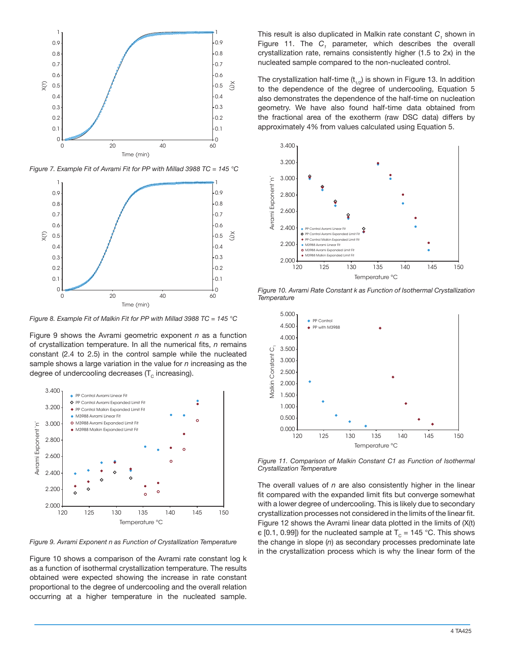

*Figure 7. Example Fit of Avrami Fit for PP with Millad 3988 TC = 145 °C*



*Figure 8. Example Fit of Malkin Fit for PP with Millad 3988 TC = 145 °C*

Figure 9 shows the Avrami geometric exponent *n* as a function of crystallization temperature. In all the numerical fits, *n* remains constant (2.4 to 2.5) in the control sample while the nucleated sample shows a large variation in the value for *n* increasing as the degree of undercooling decreases  $(T_c$  increasing).



*Figure 9. Avrami Exponent n as Function of Crystallization Temperature*

Figure 10 shows a comparison of the Avrami rate constant log k as a function of isothermal crystallization temperature. The results obtained were expected showing the increase in rate constant proportional to the degree of undercooling and the overall relation occurring at a higher temperature in the nucleated sample.

This result is also duplicated in Malkin rate constant  $C_{_I}$  shown in Figure 11. The *C*<sub>1</sub> parameter, which describes the overall crystallization rate, remains consistently higher (1.5 to 2x) in the nucleated sample compared to the non-nucleated control.

The crystallization half-time  $(t_{1/2})$  is shown in Figure 13. In addition to the dependence of the degree of undercooling, Equation 5 also demonstrates the dependence of the half-time on nucleation geometry. We have also found half-time data obtained from the fractional area of the exotherm (raw DSC data) differs by approximately 4% from values calculated using Equation 5.



*Figure 10. Avrami Rate Constant k as Function of Isothermal Crystallization Temperature*



*Figure 11. Comparison of Malkin Constant C1 as Function of Isothermal Crystallization Temperature*

The overall values of *n* are also consistently higher in the linear fit compared with the expanded limit fits but converge somewhat with a lower degree of undercooling. This is likely due to secondary crystallization processes not considered in the limits of the linear fit. Figure 12 shows the Avrami linear data plotted in the limits of (X(t)  $\epsilon$  [0.1, 0.99]) for the nucleated sample at T<sub>c</sub> = 145 °C. This shows the change in slope (*n*) as secondary processes predominate late in the crystallization process which is why the linear form of the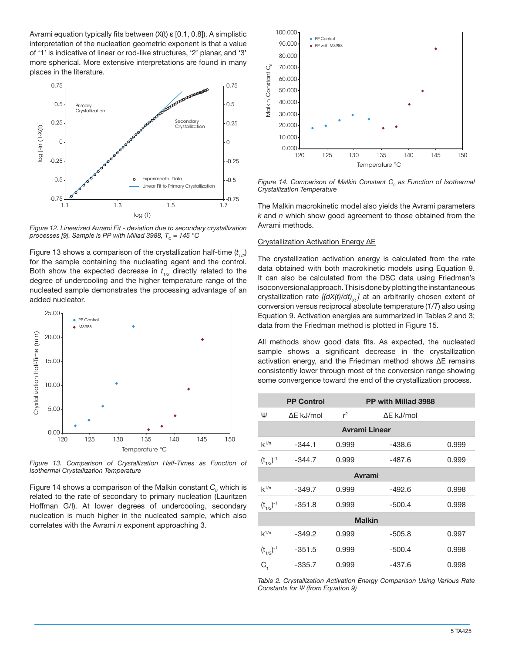Avrami equation typically fits between  $(X(t) \in [0.1, 0.8])$ . A simplistic interpretation of the nucleation geometric exponent is that a value of '1' is indicative of linear or rod-like structures, '2' planar, and '3' more spherical. More extensive interpretations are found in many places in the literature.



*Figure 12. Linearized Avrami Fit - deviation due to secondary crystallization processes [9]. Sample is PP with Millad 3988,*  $T_c = 145 \text{ }^{\circ}\text{C}$ 

Figure 13 shows a comparison of the crystallization half-time (*t 1/2*) for the sample containing the nucleating agent and the control. Both show the expected decrease in *t 1/2* directly related to the degree of undercooling and the higher temperature range of the nucleated sample demonstrates the processing advantage of an added nucleator.



*Figure 13. Comparison of Crystallization Half-Times as Function of Isothermal Crystallization Temperature*

Figure 14 shows a comparison of the Malkin constant  $C_{_O}$  which is related to the rate of secondary to primary nucleation (Lauritzen Hoffman G/I). At lower degrees of undercooling, secondary nucleation is much higher in the nucleated sample, which also correlates with the Avrami *n* exponent approaching 3.



*Figure 14. Comparison of Malkin Constant C<sub>o</sub> as Function of Isothermal Crystallization Temperature*

The Malkin macrokinetic model also yields the Avrami parameters *k* and *n* which show good agreement to those obtained from the Avrami methods.

#### Crystallization Activation Energy ∆E

The crystallization activation energy is calculated from the rate data obtained with both macrokinetic models using Equation 9. It can also be calculated from the DSC data using Friedman's isoconversional approach. This is done by plotting the instantaneous crystallization rate  $[(dX(t)/dt)_{x} ]$  at an arbitrarily chosen extent of conversion versus reciprocal absolute temperature (*1/T*) also using Equation 9. Activation energies are summarized in Tables 2 and 3; data from the Friedman method is plotted in Figure 15.

All methods show good data fits. As expected, the nucleated sample shows a significant decrease in the crystallization activation energy, and the Friedman method shows ∆E remains consistently lower through most of the conversion range showing some convergence toward the end of the crystallization process.

|                      | <b>PP Control</b> |       | PP with Millad 3988 |       |  |  |  |
|----------------------|-------------------|-------|---------------------|-------|--|--|--|
| Ψ                    | $\Delta$ E kJ/mol | $r^2$ | $\Delta E$ kJ/mol   |       |  |  |  |
| <b>Avrami Linear</b> |                   |       |                     |       |  |  |  |
| $k^{1/n}$            | $-344.1$          | 0.999 | $-438.6$            | 0.999 |  |  |  |
| $(t_{1/2})^{-1}$     | $-344.7$          | 0.999 | $-487.6$            | 0.999 |  |  |  |
| <b>Avrami</b>        |                   |       |                     |       |  |  |  |
| $k^{1/n}$            | $-349.7$          | 0.999 | $-492.6$            | 0.998 |  |  |  |
| $(t_{1/2})^{-1}$     | $-351.8$          | 0.999 | $-500.4$            | 0.998 |  |  |  |
| <b>Malkin</b>        |                   |       |                     |       |  |  |  |
| $k^{1/n}$            | $-349.2$          | 0.999 | $-505.8$            | 0.997 |  |  |  |
| $(t_{1/2})^{-1}$     | $-351.5$          | 0.999 | $-500.4$            | 0.998 |  |  |  |
| С,                   | $-335.7$          | 0.999 | -437.6              | 0.998 |  |  |  |

*Table 2. Crystallization Activation Energy Comparison Using Various Rate Constants for Ψ (from Equation 9)*